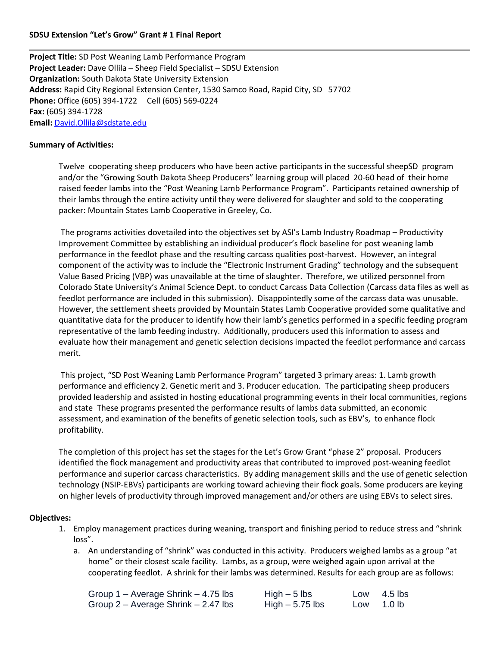### **SDSU Extension "Let's Grow" Grant # 1 Final Report**

**Project Title:** SD Post Weaning Lamb Performance Program **Project Leader:** Dave Ollila – Sheep Field Specialist – SDSU Extension **Organization:** South Dakota State University Extension **Address:** Rapid City Regional Extension Center, 1530 Samco Road, Rapid City, SD 57702 **Phone:** Office (605) 394-1722 Cell (605) 569-0224 **Fax:** (605) 394-1728 **Email:** [David.Ollila@sdstate.edu](mailto:David.Ollila@sdstate.edu)

#### **Summary of Activities:**

Twelve cooperating sheep producers who have been active participants in the successful sheepSD program and/or the "Growing South Dakota Sheep Producers" learning group will placed 20-60 head of their home raised feeder lambs into the "Post Weaning Lamb Performance Program". Participants retained ownership of their lambs through the entire activity until they were delivered for slaughter and sold to the cooperating packer: Mountain States Lamb Cooperative in Greeley, Co.

The programs activities dovetailed into the objectives set by ASI's Lamb Industry Roadmap – Productivity Improvement Committee by establishing an individual producer's flock baseline for post weaning lamb performance in the feedlot phase and the resulting carcass qualities post-harvest. However, an integral component of the activity was to include the "Electronic Instrument Grading" technology and the subsequent Value Based Pricing (VBP) was unavailable at the time of slaughter. Therefore, we utilized personnel from Colorado State University's Animal Science Dept. to conduct Carcass Data Collection (Carcass data files as well as feedlot performance are included in this submission). Disappointedly some of the carcass data was unusable. However, the settlement sheets provided by Mountain States Lamb Cooperative provided some qualitative and quantitative data for the producer to identify how their lamb's genetics performed in a specific feeding program representative of the lamb feeding industry. Additionally, producers used this information to assess and evaluate how their management and genetic selection decisions impacted the feedlot performance and carcass merit.

This project, "SD Post Weaning Lamb Performance Program" targeted 3 primary areas: 1. Lamb growth performance and efficiency 2. Genetic merit and 3. Producer education. The participating sheep producers provided leadership and assisted in hosting educational programming events in their local communities, regions and state These programs presented the performance results of lambs data submitted, an economic assessment, and examination of the benefits of genetic selection tools, such as EBV's, to enhance flock profitability.

The completion of this project has set the stages for the Let's Grow Grant "phase 2" proposal. Producers identified the flock management and productivity areas that contributed to improved post-weaning feedlot performance and superior carcass characteristics. By adding management skills and the use of genetic selection technology (NSIP-EBVs) participants are working toward achieving their flock goals. Some producers are keying on higher levels of productivity through improved management and/or others are using EBVs to select sires.

#### **Objectives:**

- 1. Employ management practices during weaning, transport and finishing period to reduce stress and "shrink loss".
	- a. An understanding of "shrink" was conducted in this activity. Producers weighed lambs as a group "at home" or their closest scale facility. Lambs, as a group, were weighed again upon arrival at the cooperating feedlot. A shrink for their lambs was determined. Results for each group are as follows:

| Group $1 -$ Average Shrink $- 4.75$ lbs | $High - 5$ lbs   | Low 4.5 lbs |
|-----------------------------------------|------------------|-------------|
| Group $2 -$ Average Shrink $-2.47$ lbs  | High $-5.75$ lbs | Low 1.0 lb  |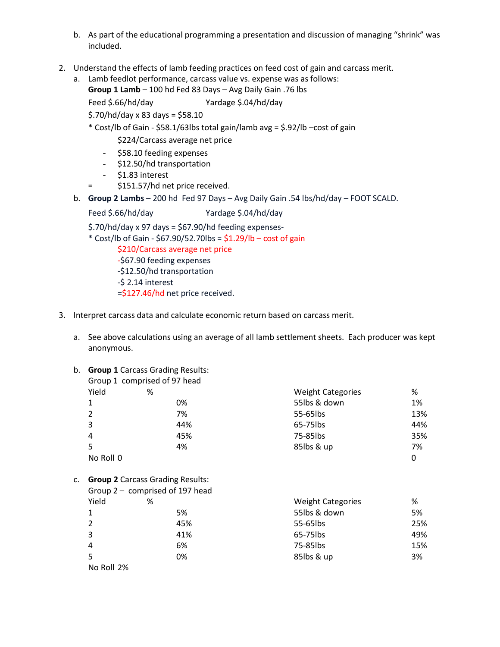- b. As part of the educational programming a presentation and discussion of managing "shrink" was included.
- 2. Understand the effects of lamb feeding practices on feed cost of gain and carcass merit.
	- a. Lamb feedlot performance, carcass value vs. expense was as follows:

**Group 1 Lamb** – 100 hd Fed 83 Days – Avg Daily Gain .76 lbs

Feed \$.66/hd/day Yardage \$.04/hd/day

\$.70/hd/day x 83 days = \$58.10

\* Cost/lb of Gain - \$58.1/63lbs total gain/lamb avg = \$.92/lb –cost of gain

\$224/Carcass average net price

- \$58.10 feeding expenses
- \$12.50/hd transportation
- \$1.83 interest
- = \$151.57/hd net price received.
- b. **Group 2 Lambs** 200 hd Fed 97 Days Avg Daily Gain .54 lbs/hd/day FOOT SCALD.

Feed \$.66/hd/day Yardage \$.04/hd/day

 $$.70/hd/day \times 97$  days =  $$67.90/hd$  feeding expenses-

\* Cost/lb of Gain - \$67.90/52.70lbs = \$1.29/lb – cost of gain

\$210/Carcass average net price

-\$67.90 feeding expenses -\$12.50/hd transportation

-\$ 2.14 interest

=\$127.46/hd net price received.

- 3. Interpret carcass data and calculate economic return based on carcass merit.
	- a. See above calculations using an average of all lamb settlement sheets. Each producer was kept anonymous.
	- b. **Group 1** Carcass Grading Results:

|               | Group 1 comprised of 97 head |                          |     |
|---------------|------------------------------|--------------------------|-----|
| Yield         | %                            | <b>Weight Categories</b> | %   |
|               | 0%                           | 55lbs & down             | 1%  |
| $\mathcal{P}$ | 7%                           | 55-65lbs                 | 13% |
| 3             | 44%                          | 65-75lbs                 | 44% |
| 4             | 45%                          | 75-85lbs                 | 35% |
| 5             | 4%                           | 85lbs & up               | 7%  |
| No Roll 0     |                              |                          | 0   |

c. **Group 2** Carcass Grading Results:

|            | Group 2 - comprised of 197 head |                          |     |
|------------|---------------------------------|--------------------------|-----|
| Yield      | %                               | <b>Weight Categories</b> | %   |
| 1          | 5%                              | 55lbs & down             | 5%  |
| 2          | 45%                             | 55-65lbs                 | 25% |
| 3          | 41%                             | 65-75lbs                 | 49% |
| 4          | 6%                              | 75-85lbs                 | 15% |
| 5          | 0%                              | 85lbs & up               | 3%  |
| No Roll 2% |                                 |                          |     |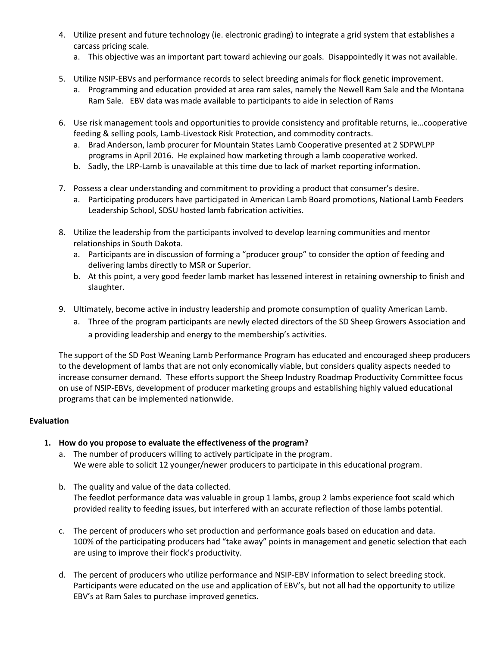- 4. Utilize present and future technology (ie. electronic grading) to integrate a grid system that establishes a carcass pricing scale.
	- a. This objective was an important part toward achieving our goals. Disappointedly it was not available.
- 5. Utilize NSIP-EBVs and performance records to select breeding animals for flock genetic improvement.
	- a. Programming and education provided at area ram sales, namely the Newell Ram Sale and the Montana Ram Sale. EBV data was made available to participants to aide in selection of Rams
- 6. Use risk management tools and opportunities to provide consistency and profitable returns, ie…cooperative feeding & selling pools, Lamb-Livestock Risk Protection, and commodity contracts.
	- a. Brad Anderson, lamb procurer for Mountain States Lamb Cooperative presented at 2 SDPWLPP programs in April 2016. He explained how marketing through a lamb cooperative worked.
	- b. Sadly, the LRP-Lamb is unavailable at this time due to lack of market reporting information.
- 7. Possess a clear understanding and commitment to providing a product that consumer's desire.
	- a. Participating producers have participated in American Lamb Board promotions, National Lamb Feeders Leadership School, SDSU hosted lamb fabrication activities.
- 8. Utilize the leadership from the participants involved to develop learning communities and mentor relationships in South Dakota.
	- a. Participants are in discussion of forming a "producer group" to consider the option of feeding and delivering lambs directly to MSR or Superior.
	- b. At this point, a very good feeder lamb market has lessened interest in retaining ownership to finish and slaughter.
- 9. Ultimately, become active in industry leadership and promote consumption of quality American Lamb.
	- a. Three of the program participants are newly elected directors of the SD Sheep Growers Association and a providing leadership and energy to the membership's activities.

The support of the SD Post Weaning Lamb Performance Program has educated and encouraged sheep producers to the development of lambs that are not only economically viable, but considers quality aspects needed to increase consumer demand. These efforts support the Sheep Industry Roadmap Productivity Committee focus on use of NSIP-EBVs, development of producer marketing groups and establishing highly valued educational programs that can be implemented nationwide.

# **Evaluation**

# **1. How do you propose to evaluate the effectiveness of the program?**

- a. The number of producers willing to actively participate in the program. We were able to solicit 12 younger/newer producers to participate in this educational program.
- b. The quality and value of the data collected. The feedlot performance data was valuable in group 1 lambs, group 2 lambs experience foot scald which provided reality to feeding issues, but interfered with an accurate reflection of those lambs potential.
- c. The percent of producers who set production and performance goals based on education and data. 100% of the participating producers had "take away" points in management and genetic selection that each are using to improve their flock's productivity.
- d. The percent of producers who utilize performance and NSIP-EBV information to select breeding stock. Participants were educated on the use and application of EBV's, but not all had the opportunity to utilize EBV's at Ram Sales to purchase improved genetics.